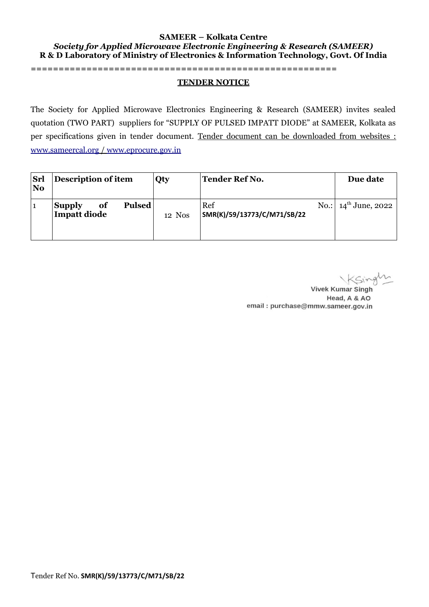#### **SAMEER – Kolkata Centre** *Society for Applied Microwave Electronic Engineering & Research (SAMEER)* **R & D Laboratory of Ministry of Electronics & Information Technology, Govt. Of India**

#### **=======================================================**

#### **TENDER NOTICE**

The Society for Applied Microwave Electronics Engineering & Research (SAMEER) invites sealed quotation (TWO PART) suppliers for "SUPPLY OF PULSED IMPATT DIODE" at SAMEER, Kolkata as per specifications given in tender document. Tender document can be downloaded from websites :  [www.sameercal.org](http://www.sameercal.org/) / [www.eprocure.gov.in](http://www.eprocure.gov.in/)

| Srl<br>N <sub>0</sub> | Description of item                                         | Qty    | Tender Ref No.                     | Due date                  |
|-----------------------|-------------------------------------------------------------|--------|------------------------------------|---------------------------|
|                       | <b>Pulsed</b><br><b>Supply</b><br><b>of</b><br>Impatt diode | 12 Nos | Ref<br>SMR(K)/59/13773/C/M71/SB/22 | No.: $14^{th}$ June, 2022 |

**Vivek Kumar Singh** Head, A & AO email: purchase@mmw.sameer.gov.in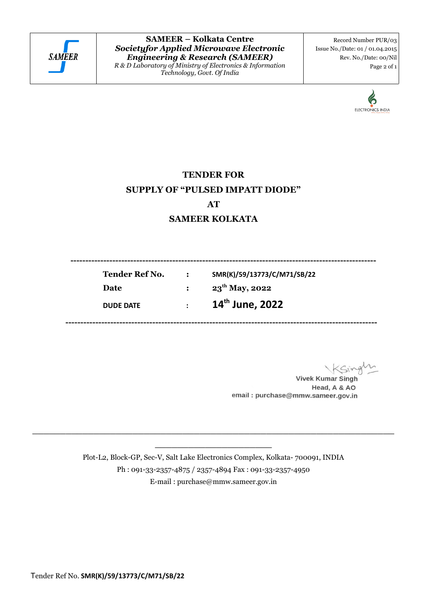

**SAMEER – Kolkata Centre** *Societyfor Applied Microwave Electronic Engineering & Research (SAMEER) R & D Laboratory of Ministry of Electronics & Information Technology, Govt. Of India*

Record Number PUR/03 Issue No./Date: 01 / 01.04.2015 Rev. No./Date: 00/Nil Page 2 of 1



# **TENDER FOR SUPPLY OF "PULSED IMPATT DIODE" AT**

# **SAMEER KOLKATA**

 **------------------------------------------------------------------------------------------------------ Tender Ref No. : SMR(K)/59/13773/C/M71/SB/22 Date** : 23<sup>th</sup> May, 2022 **DUDE DATE : 14th June, 2022 --------------------------------------------------------------------------------------------------------**

**Vivek Kumar Singh** Head, A & AO email: purchase@mmw.sameer.gov.in

Plot-L2, Block-GP, Sec-V, Salt Lake Electronics Complex, Kolkata- 700091, INDIA Ph : 091-33-2357-4875 / 2357-4894 Fax : 091-33-2357-4950 E-mail : purchase@mmw.sameer.gov.in

**\_\_\_\_\_\_\_\_\_\_\_\_\_\_\_\_\_\_\_\_\_\_\_\_\_\_\_\_\_\_\_\_\_\_\_\_\_\_\_\_\_\_\_\_\_\_\_\_\_\_\_\_\_\_\_\_\_\_\_\_\_\_\_\_\_ \_\_\_\_\_\_\_\_\_\_\_\_\_\_\_\_\_\_\_\_\_**

Tender Ref No. **SMR(K)/59/13773/C/M71/SB/22**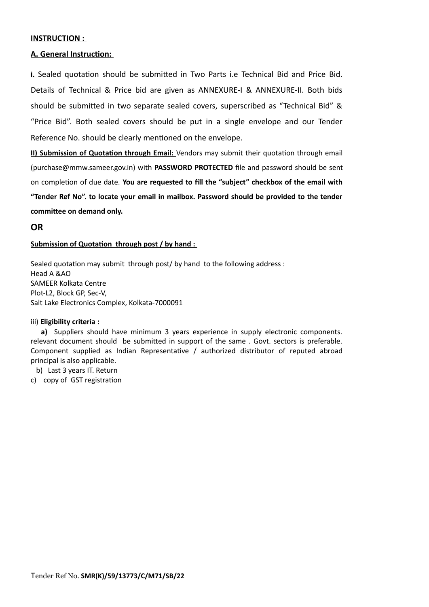#### **INSTRUCTION :**

### **A. General Instruction:**

**i.** Sealed quotation should be submitted in Two Parts i.e Technical Bid and Price Bid. Details of Technical & Price bid are given as ANNEXURE-I & ANNEXURE-II. Both bids should be submitted in two separate sealed covers, superscribed as "Technical Bid" & "Price Bid". Both sealed covers should be put in a single envelope and our Tender Reference No. should be clearly mentioned on the envelope.

**II) Submission of Quotation through Email:** Vendors may submit their quotation through email (purchase@mmw.sameer.gov.in) with **PASSWORD PROTECTED** file and password should be sent on completion of due date. **You are requested to fill the "subject" checkbox of the email with "Tender Ref No". to locate your email in mailbox. Password should be provided to the tender committee on demand only.** 

### **OR**

### **Submission of Quotation through post / by hand :**

Sealed quotation may submit through post/ by hand to the following address : Head A &AO SAMEER Kolkata Centre Plot-L2, Block GP, Sec-V, Salt Lake Electronics Complex, Kolkata-7000091

#### iii) **Eligibility criteria :**

a) Suppliers should have minimum 3 years experience in supply electronic components. relevant document should be submitted in support of the same . Govt. sectors is preferable. Component supplied as Indian Representative / authorized distributor of reputed abroad principal is also applicable.

- b) Last 3 years IT. Return
- c) copy of GST registration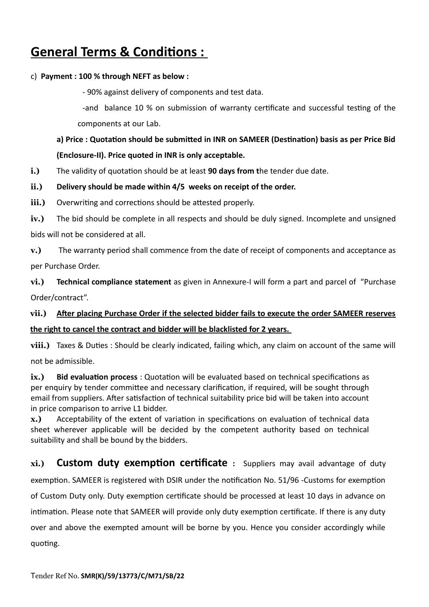# **General Terms & Conditions :**

## c) **Payment : 100 % through NEFT as below :**

- 90% against delivery of components and test data.

-and balance 10 % on submission of warranty certificate and successful testing of the components at our Lab.

# **a) Price : Quotation should be submitted in INR on SAMEER (Destination) basis as per Price Bid (Enclosure-II). Price quoted in INR is only acceptable.**

**i.)** The validity of quotation should be at least **90 days from t**he tender due date.

# **ii.) Delivery should be made within 4/5 weeks on receipt of the order.**

**iii.)** Overwriting and corrections should be attested properly.

**iv.)** The bid should be complete in all respects and should be duly signed. Incomplete and unsigned bids will not be considered at all.

**v.)** The warranty period shall commence from the date of receipt of components and acceptance as per Purchase Order.

**vi.) Technical compliance statement** as given in Annexure-I will form a part and parcel of "Purchase Order/contract".

# **vii.) After placing Purchase Order if the selected bidder fails to execute the order SAMEER reserves**

# **the right to cancel the contract and bidder will be blacklisted for 2 years.**

**viii.)** Taxes & Duties : Should be clearly indicated, failing which, any claim on account of the same will not be admissible.

**ix.) Bid evaluation process** : Quotation will be evaluated based on technical specifications as per enquiry by tender committee and necessary clarification, if required, will be sought through email from suppliers. After satisfaction of technical suitability price bid will be taken into account in price comparison to arrive L1 bidder.

**x.)** Acceptability of the extent of variation in specifications on evaluation of technical data sheet wherever applicable will be decided by the competent authority based on technical suitability and shall be bound by the bidders.

**xi.) Custom duty exemption certificate :** Suppliers may avail advantage of duty exemption. SAMEER is registered with DSIR under the notification No. 51/96 -Customs for exemption of Custom Duty only. Duty exemption certificate should be processed at least 10 days in advance on intimation. Please note that SAMEER will provide only duty exemption certificate. If there is any duty over and above the exempted amount will be borne by you. Hence you consider accordingly while quoting.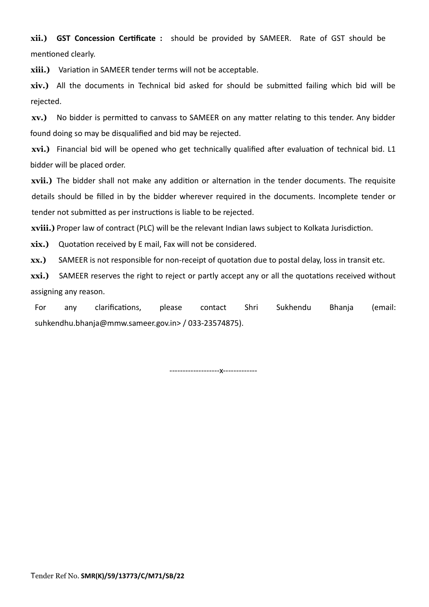**xii.) GST Concession Certificate :** should be provided by SAMEER. Rate of GST should be mentioned clearly.

**xiii.)** Variation in SAMEER tender terms will not be acceptable.

**xiv.)** All the documents in Technical bid asked for should be submitted failing which bid will be rejected.

**xv.)** No bidder is permitted to canvass to SAMEER on any matter relating to this tender. Any bidder found doing so may be disqualified and bid may be rejected.

**xvi.)** Financial bid will be opened who get technically qualified after evaluation of technical bid. L1 bidder will be placed order.

**xvii.)** The bidder shall not make any addition or alternation in the tender documents. The requisite details should be filled in by the bidder wherever required in the documents. Incomplete tender or tender not submitted as per instructions is liable to be rejected.

**xviii.)** Proper law of contract (PLC) will be the relevant Indian laws subject to Kolkata Jurisdiction.

**xix.)** Quotation received by E mail, Fax will not be considered.

**xx.)** SAMEER is not responsible for non-receipt of quotation due to postal delay, loss in transit etc.

**xxi.)** SAMEER reserves the right to reject or partly accept any or all the quotations received without assigning any reason.

For any clarifications, please contact Shri Sukhendu Bhanja (email: suhkendhu.bhanja@mmw.sameer.gov.in> / 033-23574875).

-------------------x-------------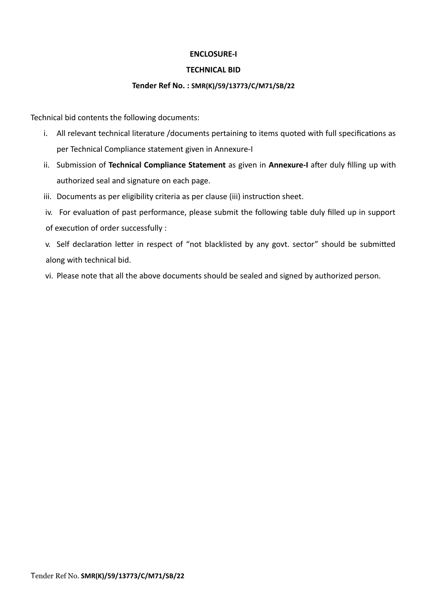### **ENCLOSURE-I**

### **TECHNICAL BID**

### **Tender Ref No. : SMR(K)/59/13773/C/M71/SB/22**

Technical bid contents the following documents:

- i. All relevant technical literature /documents pertaining to items quoted with full specifications as per Technical Compliance statement given in Annexure-I
- ii. Submission of **Technical Compliance Statement** as given in **Annexure-I** after duly filling up with authorized seal and signature on each page.
- iii. Documents as per eligibility criteria as per clause (iii) instruction sheet.
- iv. For evaluation of past performance, please submit the following table duly filled up in support of execution of order successfully :

v. Self declaration letter in respect of "not blacklisted by any govt. sector" should be submitted along with technical bid.

vi. Please note that all the above documents should be sealed and signed by authorized person.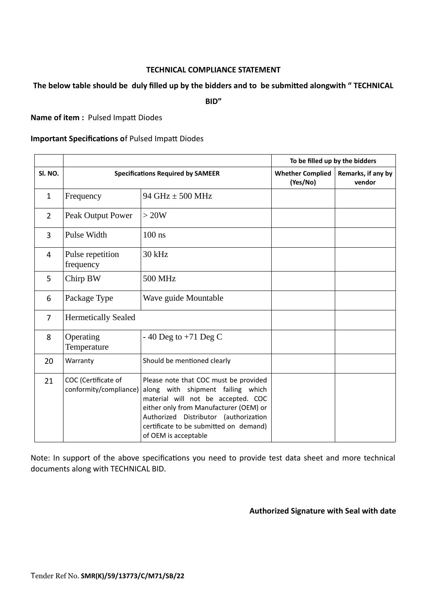### **TECHNICAL COMPLIANCE STATEMENT**

### **The below table should be duly filled up by the bidders and to be submitted alongwith " TECHNICAL**

**BID"**

**Name of item :** Pulsed Impatt Diodes

### **Important Specifications o**f Pulsed Impatt Diodes

|                |                                               |                                                                                                                                                                                                                                                                       | To be filled up by the bidders      |                              |
|----------------|-----------------------------------------------|-----------------------------------------------------------------------------------------------------------------------------------------------------------------------------------------------------------------------------------------------------------------------|-------------------------------------|------------------------------|
| SI. NO.        | <b>Specifications Required by SAMEER</b>      |                                                                                                                                                                                                                                                                       | <b>Whether Complied</b><br>(Yes/No) | Remarks, if any by<br>vendor |
| $\mathbf{1}$   | Frequency                                     | 94 GHz ± 500 MHz                                                                                                                                                                                                                                                      |                                     |                              |
| $\overline{2}$ | Peak Output Power                             | > 20W                                                                                                                                                                                                                                                                 |                                     |                              |
| 3              | Pulse Width                                   | $100$ ns                                                                                                                                                                                                                                                              |                                     |                              |
| 4              | Pulse repetition<br>frequency                 | 30 kHz                                                                                                                                                                                                                                                                |                                     |                              |
| 5              | Chirp BW                                      | <b>500 MHz</b>                                                                                                                                                                                                                                                        |                                     |                              |
| 6              | Package Type                                  | Wave guide Mountable                                                                                                                                                                                                                                                  |                                     |                              |
| 7              | <b>Hermetically Sealed</b>                    |                                                                                                                                                                                                                                                                       |                                     |                              |
| 8              | Operating<br>Temperature                      | - 40 Deg to $+71$ Deg C                                                                                                                                                                                                                                               |                                     |                              |
| 20             | Warranty                                      | Should be mentioned clearly                                                                                                                                                                                                                                           |                                     |                              |
| 21             | COC (Certificate of<br>conformity/compliance) | Please note that COC must be provided<br>along with shipment failing which<br>material will not be accepted. COC<br>either only from Manufacturer (OEM) or<br>Authorized Distributor (authorization<br>certificate to be submitted on demand)<br>of OEM is acceptable |                                     |                              |

Note: In support of the above specifications you need to provide test data sheet and more technical documents along with TECHNICAL BID.

**Authorized Signature with Seal with date**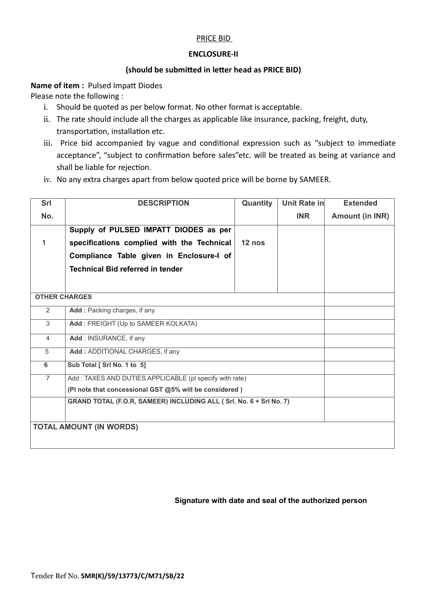### PRICE BID

### **ENCLOSURE-II**

### **(should be submitted in letter head as PRICE BID)**

**Name of item :** Pulsed Impatt Diodes

Please note the following :

- i. Should be quoted as per below format. No other format is acceptable.
- ii. The rate should include all the charges as applicable like insurance, packing, freight, duty, transportation, installation etc.
- iii. Price bid accompanied by vague and conditional expression such as "subject to immediate acceptance", "subject to confirmation before sales"etc. will be treated as being at variance and shall be liable for rejection.
- iv. No any extra charges apart from below quoted price will be borne by SAMEER.

| Srl                            | <b>DESCRIPTION</b>                                                 | Quantity | Unit Rate in | <b>Extended</b>        |  |
|--------------------------------|--------------------------------------------------------------------|----------|--------------|------------------------|--|
| No.                            |                                                                    |          | <b>INR</b>   | <b>Amount (in INR)</b> |  |
|                                | Supply of PULSED IMPATT DIODES as per                              |          |              |                        |  |
| 1                              | specifications complied with the Technical                         | $12$ nos |              |                        |  |
|                                | Compliance Table given in Enclosure-I of                           |          |              |                        |  |
|                                | <b>Technical Bid referred in tender</b>                            |          |              |                        |  |
|                                |                                                                    |          |              |                        |  |
|                                | <b>OTHER CHARGES</b>                                               |          |              |                        |  |
| 2                              | Add : Packing charges, if any                                      |          |              |                        |  |
| 3                              | Add: FREIGHT (Up to SAMEER KOLKATA)                                |          |              |                        |  |
| $\overline{4}$                 | Add: INSURANCE, if any                                             |          |              |                        |  |
| 5                              | Add: ADDITIONAL CHARGES, if any                                    |          |              |                        |  |
| 6                              | Sub Total [ Srl No. 1 to 5]                                        |          |              |                        |  |
| $\overline{7}$                 | Add: TAXES AND DUTIES APPLICABLE (pl specify with rate)            |          |              |                        |  |
|                                | (PI note that concessional GST @5% will be considered)             |          |              |                        |  |
|                                | GRAND TOTAL (F.O.R, SAMEER) INCLUDING ALL (Srl. No. 6 + Srl No. 7) |          |              |                        |  |
|                                |                                                                    |          |              |                        |  |
| <b>TOTAL AMOUNT (IN WORDS)</b> |                                                                    |          |              |                        |  |
|                                |                                                                    |          |              |                        |  |

### **Signature with date and seal of the authorized person**